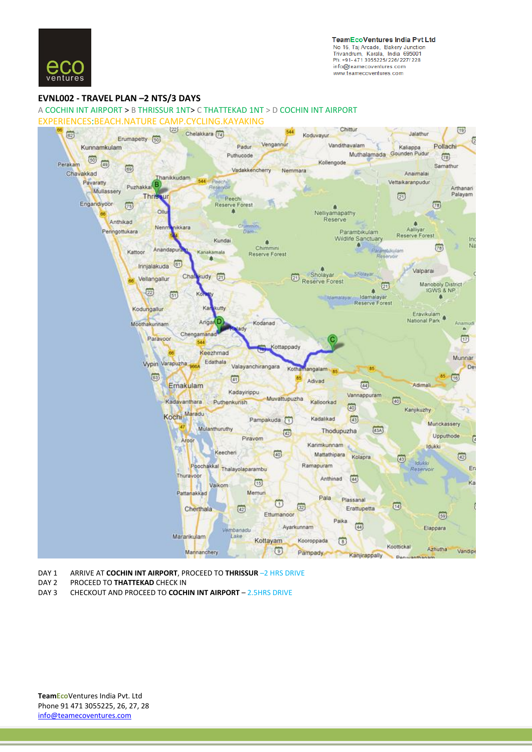

**TeamEcoVentures India Pvt Ltd** No 16, Taj Arcade, Bakery Junction<br>Trivandrum, Kerala, India 695001 Ph: +91-471 3055225/226/227/228 info@teamecoventures.com www.teamecoventures.com

## **EVNL002 - [TRAVEL](http://ad.doubleclick.net/jump/makemytrip/domflights;pos=eticketfooter;sz=728x90;ord=123456789?) PLAN –2 NTS/3 DAYS**

A COCHIN INT AIRPORT > B THRISSUR 1NT> C THATTEKAD 1NT > D COCHIN INT AIRPORT EXPERIENCES:BEACH.NATURE CAMP.CYCLING.KAYAKING



- DAY 1 ARRIVE AT **COCHIN INT AIRPORT**, PROCEED TO **THRISSUR** –2 HRS DRIVE
- DAY 2 PROCEED TO **THATTEKAD** CHECK IN DAY 3 CHECKOUT AND PROCEED TO **COCH**
- DAY 3 CHECKOUT AND PROCEED TO **COCHIN INT AIRPORT** 2.5HRS DRIVE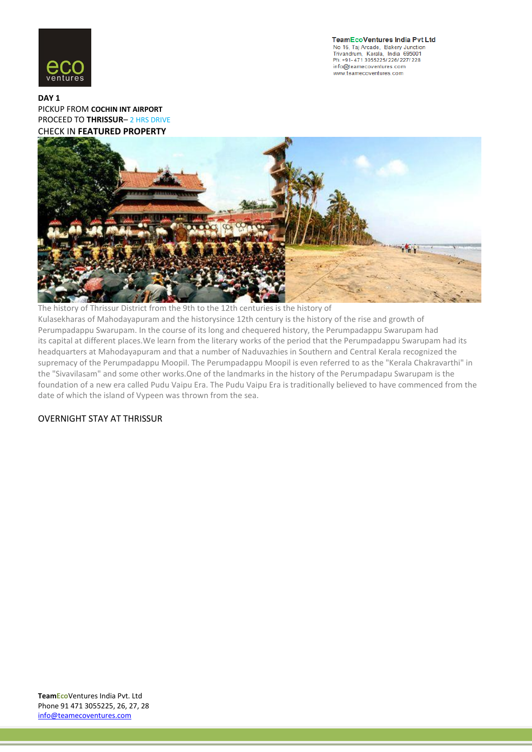

**TeamEcoVentures India Pvt Ltd** No 16, Taj Arcade, Bakery Junction<br>Trivandrum, Kerala, India 695001 Ph: +91- 471 3055225/ 226/ 227/ 228 info@teamecoventures.com www.teamecoventures.com

## **[DAY 1](http://ad.doubleclick.net/jump/makemytrip/domflights;pos=eticketfooter;sz=728x90;ord=123456789?)** [PICKUP FROM](http://ad.doubleclick.net/jump/makemytrip/domflights;pos=eticketfooter;sz=728x90;ord=123456789?) **COCHIN INT AIRPORT** [PROCEED TO](http://ad.doubleclick.net/jump/makemytrip/domflights;pos=eticketfooter;sz=728x90;ord=123456789?) **THRISSUR**– 2 HRS DRIVE [CHECK IN](http://ad.doubleclick.net/jump/makemytrip/domflights;pos=eticketfooter;sz=728x90;ord=123456789?) **FEATURED PROPERTY**



The history of Thrissur District from the 9th to the 12th centuries is the history of Kulasekharas of Mahodayapuram and the historysince 12th century is the history of the rise and growth of Perumpadappu Swarupam. In the course of its long and chequered history, the Perumpadappu Swarupam had its capital at different places.We learn from the literary works of the period that the Perumpadappu Swarupam had its headquarters at Mahodayapuram and that a number of Naduvazhies in Southern and Central Kerala recognized the supremacy of the Perumpadappu Moopil. The Perumpadappu Moopil is even referred to as the "Kerala Chakravarthi" in the "Sivavilasam" and some other works.One of the landmarks in the history of the Perumpadapu Swarupam is the foundation of a new era called Pudu Vaipu Era. The Pudu Vaipu Era is traditionally believed to have commenced from the date of which the island of Vypeen was thrown from the sea.

## OVERNIGHT STAY AT THRISSUR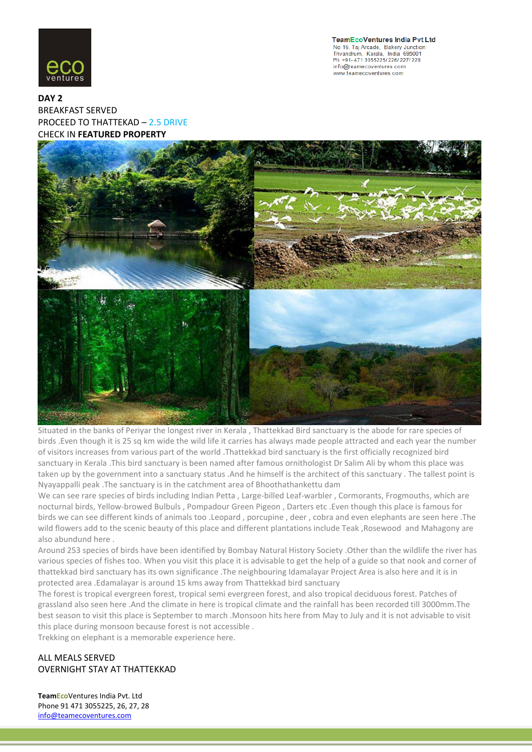

**TeamEcoVentures India Pvt Ltd** No 16, Taj Arcade, Bakery Junction<br>Trivandrum, Kerala, India 695001 Ph: +91-471 3055225/226/227/228 info@teamecoventures.com www.teamecoventures.com

**DAY 2** [BREAKFAST SERVED](http://ad.doubleclick.net/jump/makemytrip/domflights;pos=eticketfooter;sz=728x90;ord=123456789?) PROCEED TO THATTEKAD – 2.5 DRIVE CHECK IN **FEATURED PROPERTY**



Situated in the banks of Periyar the longest river in Kerala , Thattekkad Bird sanctuary is the abode for rare species of birds .Even though it is 25 sq km wide the wild life it carries has always made people attracted and each year the number of visitors increases from various part of the world .Thattekkad bird sanctuary is the first officially recognized bird sanctuary in Kerala .This bird sanctuary is been named after famous ornithologist Dr Salim Ali by whom this place was taken up by the government into a sanctuary status .And he himself is the architect of this sanctuary . The tallest point is Nyayappalli peak .The sanctuary is in the catchment area of Bhoothathankettu dam

We can see rare species of birds including Indian Petta , Large-billed Leaf-warbler , Cormorants, Frogmouths, which are nocturnal birds, Yellow-browed Bulbuls , Pompadour Green Pigeon , Darters etc .Even though this place is famous for birds we can see different kinds of animals too .Leopard , porcupine , deer , cobra and even elephants are seen here .The wild flowers add to the scenic beauty of this place and different plantations include Teak ,Rosewood and Mahagony are also abundund here .

Around 253 species of birds have been identified by Bombay Natural History Society .Other than the wildlife the river has various species of fishes too. When you visit this place it is advisable to get the help of a guide so that nook and corner of thattekkad bird sanctuary has its own significance .The neighbouring Idamalayar Project Area is also here and it is in protected area .Edamalayar is around 15 kms away from Thattekkad bird sanctuary

The forest is tropical evergreen forest, tropical semi evergreen forest, and also tropical deciduous forest. Patches of grassland also seen here .And the climate in here is tropical climate and the rainfall has been recorded till 3000mm.The best season to visit this place is September to march .Monsoon hits here from May to July and it is not advisable to visit this place during monsoon because forest is not accessible .

Trekking on elephant is a memorable experience here.

ALL MEALS SERVED OVERNIGHT STAY AT THATTEKKAD

**TeamEco**Ventures India Pvt. Ltd Phone 91 471 3055225, 26, 27, 28 info@teamecoventures.com